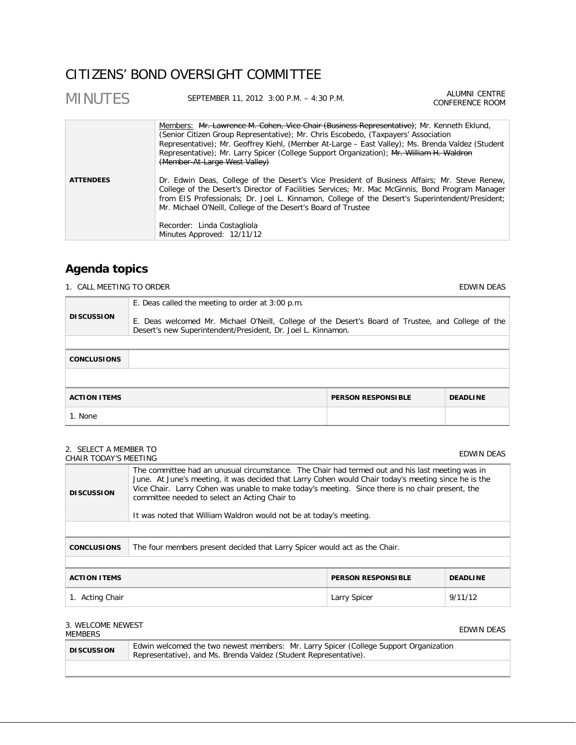# CITIZENS' BOND OVERSIGHT COMMITTEE

| <b>MINUTES</b>   | SEPTEMBER 11, 2012 3:00 P.M. - 4:30 P.M.                                                                                                                                                                                                                                                                                                                                                                                         | ALUMNI CENTRE<br>CONFERENCE ROOM |
|------------------|----------------------------------------------------------------------------------------------------------------------------------------------------------------------------------------------------------------------------------------------------------------------------------------------------------------------------------------------------------------------------------------------------------------------------------|----------------------------------|
|                  | Members: Mr. Lawrence M. Cohen, Vice Chair (Business Representative); Mr. Kenneth Eklund,<br>(Senior Citizen Group Representative); Mr. Chris Escobedo, (Taxpayers' Association<br>Representative); Mr. Geoffrey Kiehl, (Member At-Large – East Valley); Ms. Brenda Valdez (Student<br>Representative); Mr. Larry Spicer (College Support Organization); Mr. William H. Waldron<br>(Member-At-Large West Valley)                 |                                  |
| <b>ATTENDEES</b> | Dr. Edwin Deas, College of the Desert's Vice President of Business Affairs; Mr. Steve Renew,<br>College of the Desert's Director of Facilities Services; Mr. Mac McGinnis, Bond Program Manager<br>from EIS Professionals; Dr. Joel L. Kinnamon, College of the Desert's Superintendent/President;<br>Mr. Michael O'Neill, College of the Desert's Board of Trustee<br>Recorder: Linda Costagliola<br>Minutes Approved: 12/11/12 |                                  |

# **Agenda topics**

1. CALL MEETING TO ORDER **EDWIN DEAS EDWIN DEAS** 

| <b>DISCUSSION</b>   | E. Deas called the meeting to order at 3:00 p.m.<br>E. Deas welcomed Mr. Michael O'Neill, College of the Desert's Board of Trustee, and College of the<br>Desert's new Superintendent/President, Dr. Joel L. Kinnamon. |                           |                 |
|---------------------|------------------------------------------------------------------------------------------------------------------------------------------------------------------------------------------------------------------------|---------------------------|-----------------|
|                     |                                                                                                                                                                                                                        |                           |                 |
| <b>CONCLUSIONS</b>  |                                                                                                                                                                                                                        |                           |                 |
|                     |                                                                                                                                                                                                                        |                           |                 |
| <b>ACTION ITEMS</b> |                                                                                                                                                                                                                        | <b>PERSON RESPONSIBLE</b> | <b>DEADLINE</b> |
| 1. None             |                                                                                                                                                                                                                        |                           |                 |

#### 2. SELECT A MEMBER TO 2. SELECT A MEMBER TO<br>CHAIR TODAY'S MEETING

| <b>DISCUSSION</b>                                                                                | The committee had an unusual circumstance. The Chair had termed out and his last meeting was in<br>June. At June's meeting, it was decided that Larry Cohen would Chair today's meeting since he is the<br>Vice Chair. Larry Cohen was unable to make today's meeting. Since there is no chair present, the<br>committee needed to select an Acting Chair to<br>It was noted that William Waldron would not be at today's meeting. |  |  |
|--------------------------------------------------------------------------------------------------|------------------------------------------------------------------------------------------------------------------------------------------------------------------------------------------------------------------------------------------------------------------------------------------------------------------------------------------------------------------------------------------------------------------------------------|--|--|
| The four members present decided that Larry Spicer would act as the Chair.<br><b>CONCLUSIONS</b> |                                                                                                                                                                                                                                                                                                                                                                                                                                    |  |  |
| <b>ACTION ITEMS</b><br><b>PERSON RESPONSIBLE</b><br><b>DEADLINE</b>                              |                                                                                                                                                                                                                                                                                                                                                                                                                                    |  |  |
| 9/11/12<br>1. Acting Chair<br>Larry Spicer                                                       |                                                                                                                                                                                                                                                                                                                                                                                                                                    |  |  |

# 3. WELCOME NEWEST

# STREED ONLY THE MEDICINE IN A SERIES AND THE MANUSCRIPT OF THE MEDICINE OF THE MANUSCRIPT OF THE MANUSCRIPT OF<br>MEMBERS THE MANUSCRIPT OF THE MANUSCRIPT OF THE MANUSCRIPT OF THE MANUSCRIPT OF THE MANUSCRIPT OF THE MANUSCRIP **DISCUSSION** Edwin welcomed the two newest members: Mr. Larry Spicer (College Support Organization Representative), and Ms. Brenda Valdez (Student Representative).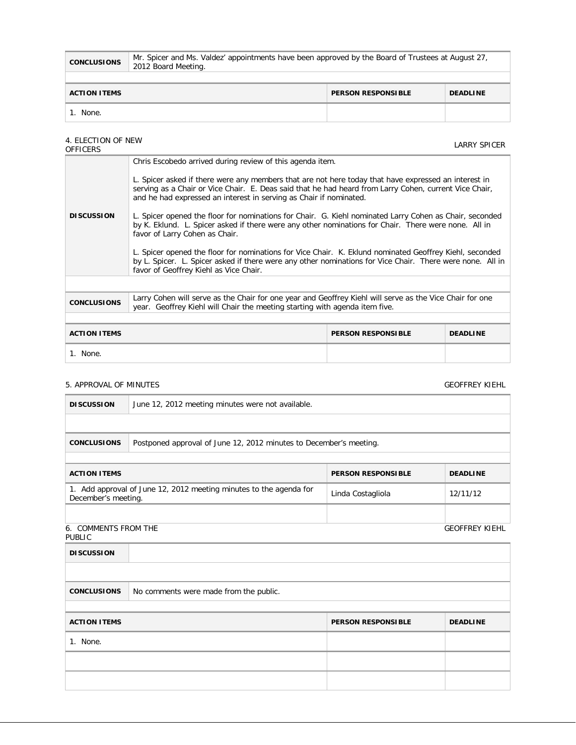| <b>CONCLUSIONS</b>  | Mr. Spicer and Ms. Valdez' appointments have been approved by the Board of Trustees at August 27,<br>2012 Board Meeting. |                           |                 |
|---------------------|--------------------------------------------------------------------------------------------------------------------------|---------------------------|-----------------|
|                     |                                                                                                                          |                           |                 |
| <b>ACTION ITEMS</b> |                                                                                                                          | <b>PERSON RESPONSIBLE</b> | <b>DEADLINE</b> |
| None.               |                                                                                                                          |                           |                 |

# 4. ELECTION OF NEW THE CELOTION OF NEW SPICER AND THE SERVICE OF THE CONTROL OF THE CONTROL CONTROL CONTROL CONTROL CONTROL CONTR<br>OFFICERS

|                     | Chris Escobedo arrived during review of this agenda item.                                                                                                                                                                                                                                                                                                                                                                                                                                                                                                                                                                                                                                                                                                                                                   |                           |                 |
|---------------------|-------------------------------------------------------------------------------------------------------------------------------------------------------------------------------------------------------------------------------------------------------------------------------------------------------------------------------------------------------------------------------------------------------------------------------------------------------------------------------------------------------------------------------------------------------------------------------------------------------------------------------------------------------------------------------------------------------------------------------------------------------------------------------------------------------------|---------------------------|-----------------|
| <b>DISCUSSION</b>   | L. Spicer asked if there were any members that are not here today that have expressed an interest in<br>serving as a Chair or Vice Chair. E. Deas said that he had heard from Larry Cohen, current Vice Chair,<br>and he had expressed an interest in serving as Chair if nominated.<br>L. Spicer opened the floor for nominations for Chair. G. Kiehl nominated Larry Cohen as Chair, seconded<br>by K. Eklund. L. Spicer asked if there were any other nominations for Chair. There were none. All in<br>favor of Larry Cohen as Chair.<br>L. Spicer opened the floor for nominations for Vice Chair. K. Eklund nominated Geoffrey Kiehl, seconded<br>by L. Spicer. L. Spicer asked if there were any other nominations for Vice Chair. There were none. All in<br>favor of Geoffrey Kiehl as Vice Chair. |                           |                 |
|                     |                                                                                                                                                                                                                                                                                                                                                                                                                                                                                                                                                                                                                                                                                                                                                                                                             |                           |                 |
|                     |                                                                                                                                                                                                                                                                                                                                                                                                                                                                                                                                                                                                                                                                                                                                                                                                             |                           |                 |
| <b>CONCLUSIONS</b>  | Larry Cohen will serve as the Chair for one year and Geoffrey Kiehl will serve as the Vice Chair for one<br>year. Geoffrey Kiehl will Chair the meeting starting with agenda item five.                                                                                                                                                                                                                                                                                                                                                                                                                                                                                                                                                                                                                     |                           |                 |
|                     |                                                                                                                                                                                                                                                                                                                                                                                                                                                                                                                                                                                                                                                                                                                                                                                                             |                           |                 |
| <b>ACTION ITEMS</b> |                                                                                                                                                                                                                                                                                                                                                                                                                                                                                                                                                                                                                                                                                                                                                                                                             | <b>PERSON RESPONSIBLE</b> | <b>DEADLINE</b> |
| 1. None.            |                                                                                                                                                                                                                                                                                                                                                                                                                                                                                                                                                                                                                                                                                                                                                                                                             |                           |                 |

# 5. APPROVAL OF MINUTES GEOFFREY KIEHL

| <b>DISCUSSION</b>                                                   | June 12, 2012 meeting minutes were not available.                  |                           |                       |  |  |
|---------------------------------------------------------------------|--------------------------------------------------------------------|---------------------------|-----------------------|--|--|
|                                                                     |                                                                    |                           |                       |  |  |
| <b>CONCLUSIONS</b>                                                  | Postponed approval of June 12, 2012 minutes to December's meeting. |                           |                       |  |  |
|                                                                     |                                                                    |                           |                       |  |  |
| <b>ACTION ITEMS</b>                                                 |                                                                    | <b>PERSON RESPONSIBLE</b> | <b>DEADLINE</b>       |  |  |
| December's meeting.                                                 | 1. Add approval of June 12, 2012 meeting minutes to the agenda for | Linda Costagliola         | 12/11/12              |  |  |
|                                                                     |                                                                    |                           |                       |  |  |
| 6. COMMENTS FROM THE<br><b>PUBLIC</b>                               |                                                                    |                           | <b>GEOFFREY KIEHL</b> |  |  |
| <b>DISCUSSION</b>                                                   |                                                                    |                           |                       |  |  |
|                                                                     |                                                                    |                           |                       |  |  |
| <b>CONCLUSIONS</b>                                                  | No comments were made from the public.                             |                           |                       |  |  |
|                                                                     |                                                                    |                           |                       |  |  |
| <b>ACTION ITEMS</b><br><b>PERSON RESPONSIBLE</b><br><b>DEADLINE</b> |                                                                    |                           |                       |  |  |
| 1. None.                                                            |                                                                    |                           |                       |  |  |
|                                                                     |                                                                    |                           |                       |  |  |
|                                                                     |                                                                    |                           |                       |  |  |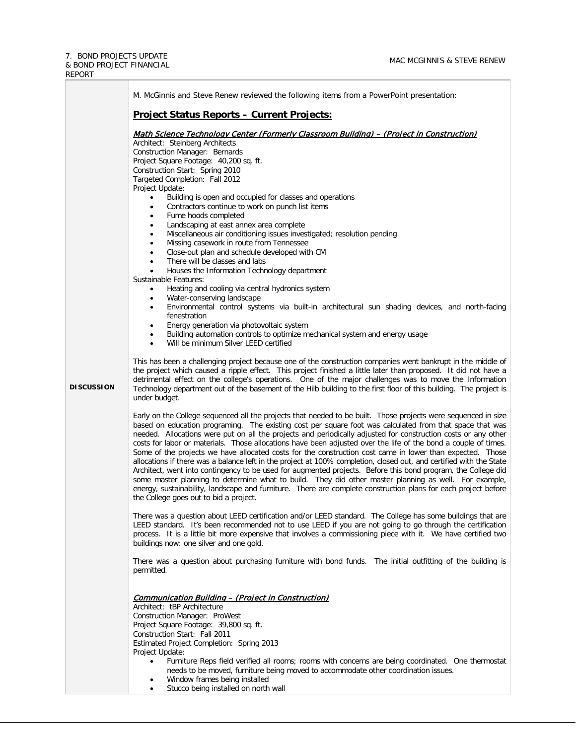

Stucco being installed on north wall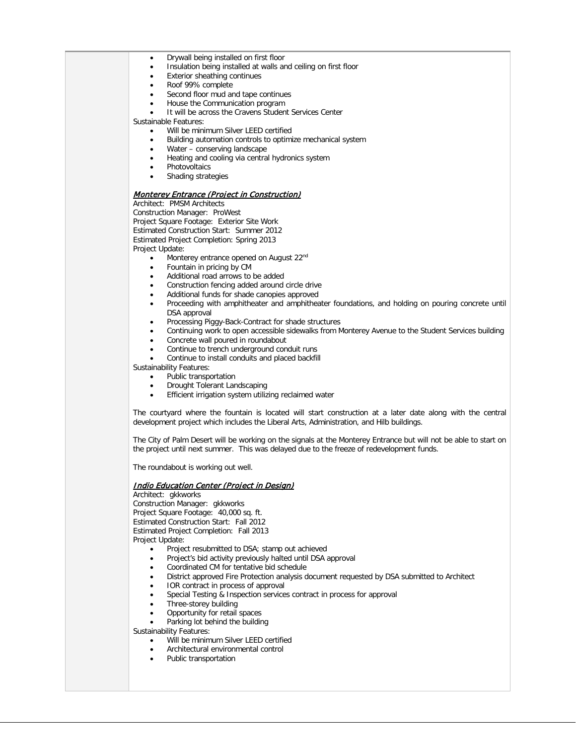- Drywall being installed on first floor
- Insulation being installed at walls and ceiling on first floor
- Exterior sheathing continues
- Roof 99% complete
- Second floor mud and tape continues
- House the Communication program
- It will be across the Cravens Student Services Center

Sustainable Features:

- Will be minimum Silver LEED certified
- Building automation controls to optimize mechanical system
- Water conserving landscape
- Heating and cooling via central hydronics system
- **Photovoltaics**
- Shading strategies

## Monterey Entrance (Project in Construction)

Architect: PMSM Architects Construction Manager: ProWest Project Square Footage: Exterior Site Work Estimated Construction Start: Summer 2012 Estimated Project Completion: Spring 2013 Project Update:

- Monterey entrance opened on August 22<sup>nd</sup>
- Fountain in pricing by CM
- Additional road arrows to be added
- Construction fencing added around circle drive
- Additional funds for shade canopies approved
- Proceeding with amphitheater and amphitheater foundations, and holding on pouring concrete until DSA approval
- Processing Piggy-Back-Contract for shade structures
- Continuing work to open accessible sidewalks from Monterey Avenue to the Student Services building
- Concrete wall poured in roundabout
- Continue to trench underground conduit runs
- Continue to install conduits and placed backfill

Sustainability Features:

- Public transportation
- Drought Tolerant Landscaping
- Efficient irrigation system utilizing reclaimed water

The courtyard where the fountain is located will start construction at a later date along with the central development project which includes the Liberal Arts, Administration, and Hilb buildings.

The City of Palm Desert will be working on the signals at the Monterey Entrance but will not be able to start on the project until next summer. This was delayed due to the freeze of redevelopment funds.

The roundabout is working out well.

#### Indio Education Center (Project in Design)

Architect: gkkworks Construction Manager: gkkworks Project Square Footage: 40,000 sq. ft. Estimated Construction Start: Fall 2012 Estimated Project Completion: Fall 2013 Project Update:

- Project resubmitted to DSA; stamp out achieved
- Project's bid activity previously halted until DSA approval
- Coordinated CM for tentative bid schedule
- District approved Fire Protection analysis document requested by DSA submitted to Architect
- IOR contract in process of approval
- Special Testing & Inspection services contract in process for approval
- Three-storey building
- Opportunity for retail spaces
- Parking lot behind the building

Sustainability Features:

- Will be minimum Silver LEED certified
- Architectural environmental control
- Public transportation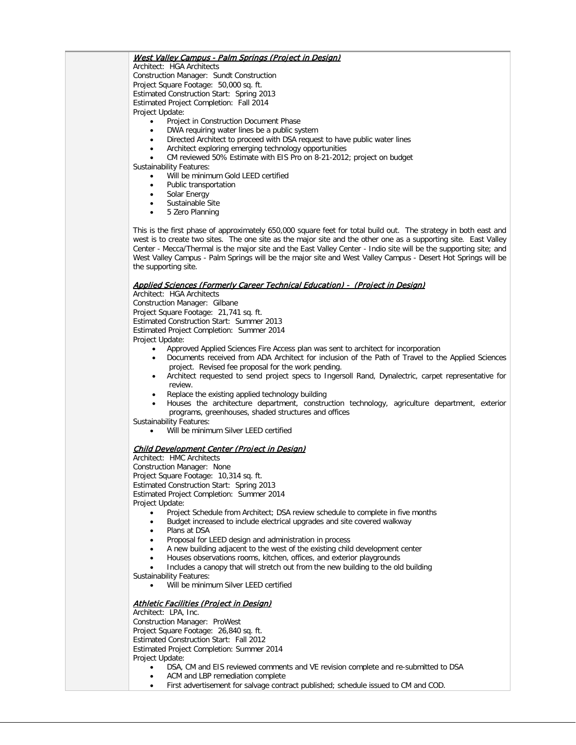## West Valley Campus - Palm Springs (Project in Design)

Architect: HGA Architects Construction Manager: Sundt Construction Project Square Footage: 50,000 sq. ft. Estimated Construction Start: Spring 2013 Estimated Project Completion: Fall 2014 Project Update:

- Project in Construction Document Phase
- DWA requiring water lines be a public system
- Directed Architect to proceed with DSA request to have public water lines
- Architect exploring emerging technology opportunities
- CM reviewed 50% Estimate with EIS Pro on 8-21-2012; project on budget

Sustainability Features:

- Will be minimum Gold LEED certified
- Public transportation
- Solar Energy
- Sustainable Site
- 5 Zero Planning

This is the first phase of approximately 650,000 square feet for total build out. The strategy in both east and west is to create two sites. The one site as the major site and the other one as a supporting site. East Valley Center - Mecca/Thermal is the major site and the East Valley Center - Indio site will be the supporting site; and West Valley Campus - Palm Springs will be the major site and West Valley Campus - Desert Hot Springs will be the supporting site.

#### Applied Sciences (Formerly Career Technical Education) - (Project in Design)

Architect: HGA Architects

Construction Manager: Gilbane Project Square Footage: 21,741 sq. ft. Estimated Construction Start: Summer 2013 Estimated Project Completion: Summer 2014 Project Update:

- Approved Applied Sciences Fire Access plan was sent to architect for incorporation
- Documents received from ADA Architect for inclusion of the Path of Travel to the Applied Sciences project. Revised fee proposal for the work pending.
- Architect requested to send project specs to Ingersoll Rand, Dynalectric, carpet representative for review.
- Replace the existing applied technology building
- Houses the architecture department, construction technology, agriculture department, exterior programs, greenhouses, shaded structures and offices
- Sustainability Features:
	- Will be minimum Silver LEED certified

#### Child Development Center (Project in Design)

Architect: HMC Architects Construction Manager: None Project Square Footage: 10,314 sq. ft. Estimated Construction Start: Spring 2013 Estimated Project Completion: Summer 2014 Project Update:

- Project Schedule from Architect; DSA review schedule to complete in five months
- Budget increased to include electrical upgrades and site covered walkway
- Plans at DSA
- Proposal for LEED design and administration in process
- A new building adjacent to the west of the existing child development center
- Houses observations rooms, kitchen, offices, and exterior playgrounds
- Includes a canopy that will stretch out from the new building to the old building
- Sustainability Features:

• Will be minimum Silver LEED certified

# Athletic Facilities (Project in Design)

Architect: LPA, Inc. Construction Manager: ProWest Project Square Footage: 26,840 sq. ft. Estimated Construction Start: Fall 2012 Estimated Project Completion: Summer 2014 Project Update:

- DSA, CM and EIS reviewed comments and VE revision complete and re-submitted to DSA
- ACM and LBP remediation complete
- First advertisement for salvage contract published; schedule issued to CM and COD.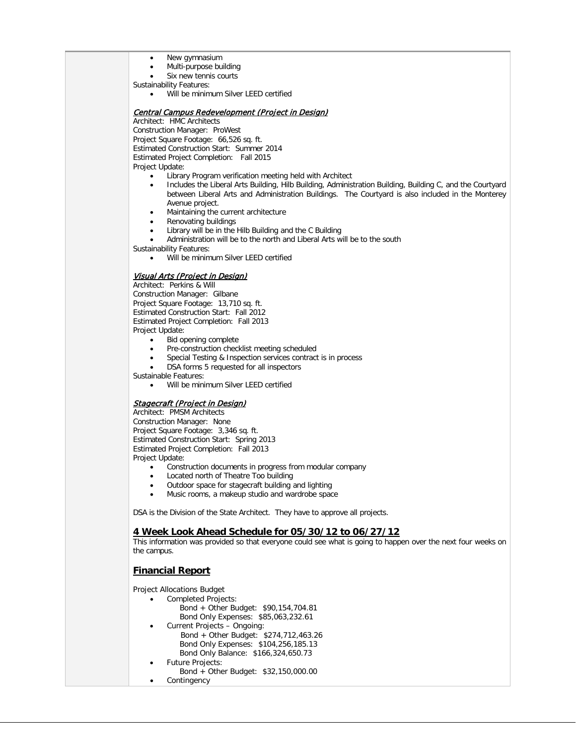- New gymnasium
- Multi-purpose building
- Six new tennis courts
- Sustainability Features:
	- Will be minimum Silver LEED certified

### Central Campus Redevelopment (Project in Design)

Architect: HMC Architects Construction Manager: ProWest Project Square Footage: 66,526 sq. ft. Estimated Construction Start: Summer 2014 Estimated Project Completion: Fall 2015 Project Update:

- Library Program verification meeting held with Architect
- Includes the Liberal Arts Building, Hilb Building, Administration Building, Building C, and the Courtyard between Liberal Arts and Administration Buildings. The Courtyard is also included in the Monterey Avenue project.
- Maintaining the current architecture
- Renovating buildings
- Library will be in the Hilb Building and the C Building
- Administration will be to the north and Liberal Arts will be to the south

Sustainability Features:

Will be minimum Silver LEED certified

# Visual Arts (Project in Design)

Architect: Perkins & Will Construction Manager: Gilbane Project Square Footage: 13,710 sq. ft. Estimated Construction Start: Fall 2012 Estimated Project Completion: Fall 2013 Project Update:

- Bid opening complete
- Pre-construction checklist meeting scheduled
- Special Testing & Inspection services contract is in process
- DSA forms 5 requested for all inspectors

Sustainable Features:

Will be minimum Silver LEED certified

## Stagecraft (Project in Design)

Architect: PMSM Architects Construction Manager: None Project Square Footage: 3,346 sq. ft. Estimated Construction Start: Spring 2013 Estimated Project Completion: Fall 2013 Project Update:

- Construction documents in progress from modular company
- Located north of Theatre Too building
- Outdoor space for stagecraft building and lighting
- Music rooms, a makeup studio and wardrobe space

DSA is the Division of the State Architect. They have to approve all projects.

## **4 Week Look Ahead Schedule for 05/30/12 to 06/27/12**

This information was provided so that everyone could see what is going to happen over the next four weeks on the campus.

# **Financial Report**

Project Allocations Budget

- Completed Projects:
	- Bond + Other Budget: \$90,154,704.81 Bond Only Expenses: \$85,063,232.61
	- Current Projects Ongoing: Bond + Other Budget: \$274,712,463.26 Bond Only Expenses: \$104,256,185.13 Bond Only Balance: \$166,324,650.73
- Future Projects:
	- Bond + Other Budget: \$32,150,000.00
		- **Contingency**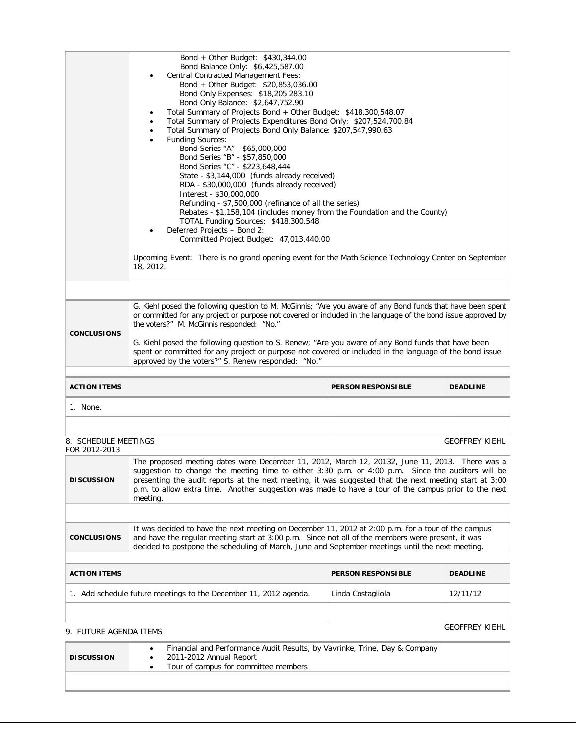|                    | Bond + Other Budget: \$430,344.00<br>Bond Balance Only: \$6,425,587.00<br><b>Central Contracted Management Fees:</b><br>Bond + Other Budget: \$20,853,036.00<br>Bond Only Expenses: \$18,205,283.10<br>Bond Only Balance: \$2,647,752.90<br>Total Summary of Projects Bond + Other Budget: \$418,300,548.07<br>Total Summary of Projects Expenditures Bond Only: \$207,524,700.84<br>Total Summary of Projects Bond Only Balance: \$207,547,990.63<br><b>Funding Sources:</b><br>Bond Series "A" - \$65,000,000<br>Bond Series "B" - \$57,850,000<br>Bond Series "C" - \$223,648,444<br>State - \$3,144,000 (funds already received)<br>RDA - \$30,000,000 (funds already received)<br>Interest - \$30,000,000<br>Refunding - \$7,500,000 (refinance of all the series)<br>Rebates - \$1,158,104 (includes money from the Foundation and the County)<br>TOTAL Funding Sources: \$418,300,548<br>Deferred Projects - Bond 2:<br>Committed Project Budget: 47,013,440.00<br>Upcoming Event: There is no grand opening event for the Math Science Technology Center on September<br>18, 2012. |
|--------------------|--------------------------------------------------------------------------------------------------------------------------------------------------------------------------------------------------------------------------------------------------------------------------------------------------------------------------------------------------------------------------------------------------------------------------------------------------------------------------------------------------------------------------------------------------------------------------------------------------------------------------------------------------------------------------------------------------------------------------------------------------------------------------------------------------------------------------------------------------------------------------------------------------------------------------------------------------------------------------------------------------------------------------------------------------------------------------------------------|
|                    |                                                                                                                                                                                                                                                                                                                                                                                                                                                                                                                                                                                                                                                                                                                                                                                                                                                                                                                                                                                                                                                                                            |
| <b>CONCLUSIONS</b> | G. Kiehl posed the following question to M. McGinnis; "Are you aware of any Bond funds that have been spent<br>or committed for any project or purpose not covered or included in the language of the bond issue approved by<br>the voters?" M. McGinnis responded: "No."<br>G. Kiehl posed the following question to S. Renew; "Are you aware of any Bond funds that have been<br>spent or committed for any project or purpose not covered or included in the language of the bond issue<br>approved by the voters?" S. Renew responded: "No."                                                                                                                                                                                                                                                                                                                                                                                                                                                                                                                                           |

| <b>ACTION ITEMS</b> | <b>PERSON RESPONSIBLE</b> | <b>DEADLINE</b> |
|---------------------|---------------------------|-----------------|
| None.               |                           |                 |
|                     |                           |                 |

GEOFFREY KIEHL

#### 8. SCHEDULE MEETINGS FOR 2012-2013

| <b>DISCUSSION</b>                                                | The proposed meeting dates were December 11, 2012, March 12, 20132, June 11, 2013. There was a<br>suggestion to change the meeting time to either 3:30 p.m. or 4:00 p.m. Since the auditors will be<br>presenting the audit reports at the next meeting, it was suggested that the next meeting start at 3:00<br>p.m. to allow extra time. Another suggestion was made to have a tour of the campus prior to the next<br>meeting. |                           |                 |
|------------------------------------------------------------------|-----------------------------------------------------------------------------------------------------------------------------------------------------------------------------------------------------------------------------------------------------------------------------------------------------------------------------------------------------------------------------------------------------------------------------------|---------------------------|-----------------|
|                                                                  |                                                                                                                                                                                                                                                                                                                                                                                                                                   |                           |                 |
| <b>CONCLUSIONS</b>                                               | It was decided to have the next meeting on December 11, 2012 at 2:00 p.m. for a tour of the campus<br>and have the regular meeting start at 3:00 p.m. Since not all of the members were present, it was<br>decided to postpone the scheduling of March, June and September meetings until the next meeting.                                                                                                                       |                           |                 |
|                                                                  |                                                                                                                                                                                                                                                                                                                                                                                                                                   |                           |                 |
| <b>ACTION ITEMS</b>                                              |                                                                                                                                                                                                                                                                                                                                                                                                                                   | <b>PERSON RESPONSIBLE</b> | <b>DEADLINE</b> |
| 1. Add schedule future meetings to the December 11, 2012 agenda. |                                                                                                                                                                                                                                                                                                                                                                                                                                   | Linda Costagliola         | 12/11/12        |
|                                                                  |                                                                                                                                                                                                                                                                                                                                                                                                                                   |                           |                 |

# 9. FUTURE AGENDA ITEMS GEOFFREY KIEHL

| <b>DISCUSSION</b> | Financial and Performance Audit Results, by Vavrinke, Trine, Day & Company<br>2011-2012 Annual Report<br>Tour of campus for committee members |  |
|-------------------|-----------------------------------------------------------------------------------------------------------------------------------------------|--|
|                   |                                                                                                                                               |  |